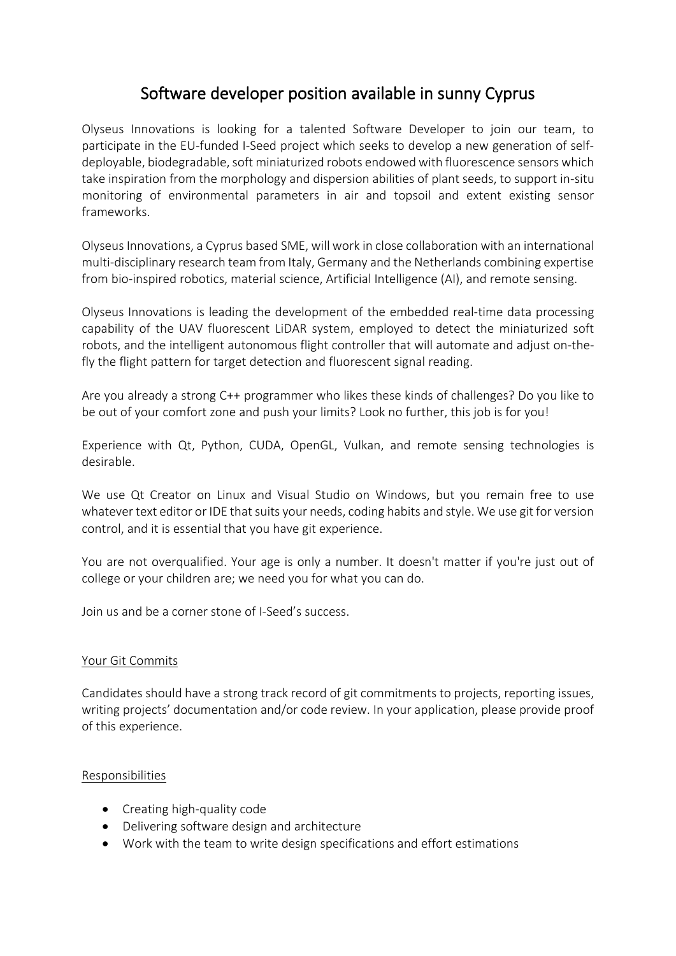# Software developer position available in sunny Cyprus

Olyseus Innovations is looking for a talented Software Developer to join our team, to participate in the EU-funded I-Seed project which seeks to develop a new generation of selfdeployable, biodegradable, soft miniaturized robots endowed with fluorescence sensors which take inspiration from the morphology and dispersion abilities of plant seeds, to support in-situ monitoring of environmental parameters in air and topsoil and extent existing sensor frameworks.

Olyseus Innovations, a Cyprus based SME, will work in close collaboration with an international multi-disciplinary research team from Italy, Germany and the Netherlands combining expertise from bio-inspired robotics, material science, Artificial Intelligence (AI), and remote sensing.

Olyseus Innovations is leading the development of the embedded real-time data processing capability of the UAV fluorescent LiDAR system, employed to detect the miniaturized soft robots, and the intelligent autonomous flight controller that will automate and adjust on-thefly the flight pattern for target detection and fluorescent signal reading.

Are you already a strong C++ programmer who likes these kinds of challenges? Do you like to be out of your comfort zone and push your limits? Look no further, this job is for you!

Experience with Qt, Python, CUDA, OpenGL, Vulkan, and remote sensing technologies is desirable.

We use Qt Creator on Linux and Visual Studio on Windows, but you remain free to use whatever text editor or IDE that suits your needs, coding habits and style. We use git for version control, and it is essential that you have git experience.

You are not overqualified. Your age is only a number. It doesn't matter if you're just out of college or your children are; we need you for what you can do.

Join us and be a corner stone of I-Seed's success.

## Your Git Commits

Candidates should have a strong track record of git commitments to projects, reporting issues, writing projects' documentation and/or code review. In your application, please provide proof of this experience.

## Responsibilities

- Creating high-quality code
- Delivering software design and architecture
- Work with the team to write design specifications and effort estimations